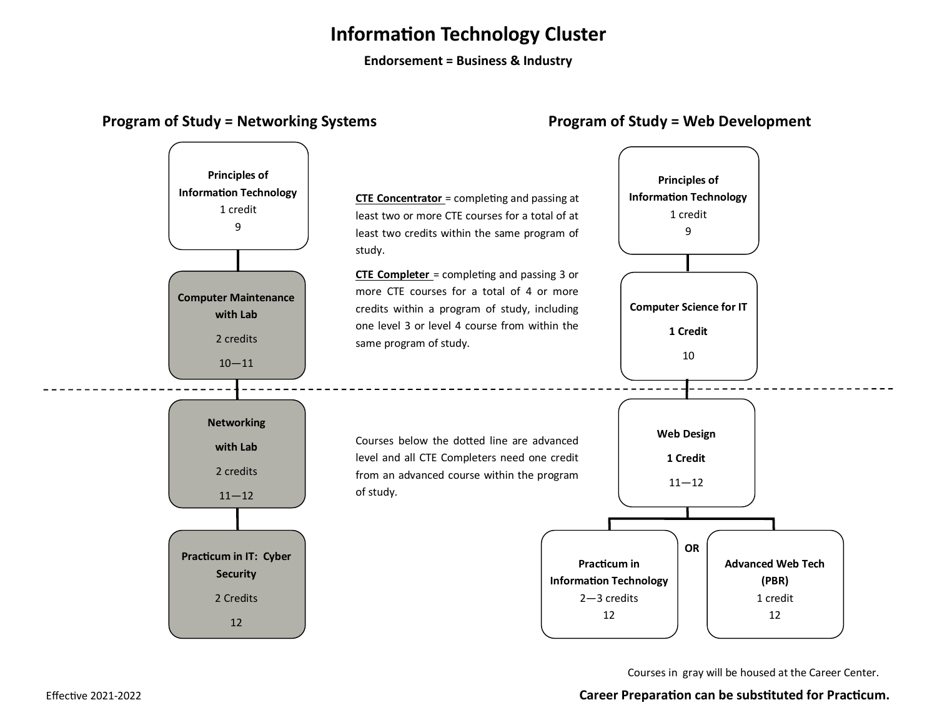## **Information Technology Cluster**

**Endorsement = Business & Industry**

### **Program of Study = Networking Systems Program of Study = Web Development**



Courses in gray will be housed at the Career Center.

### Effective 2021-2022 **Career Preparation can be substituted for Practicum.**